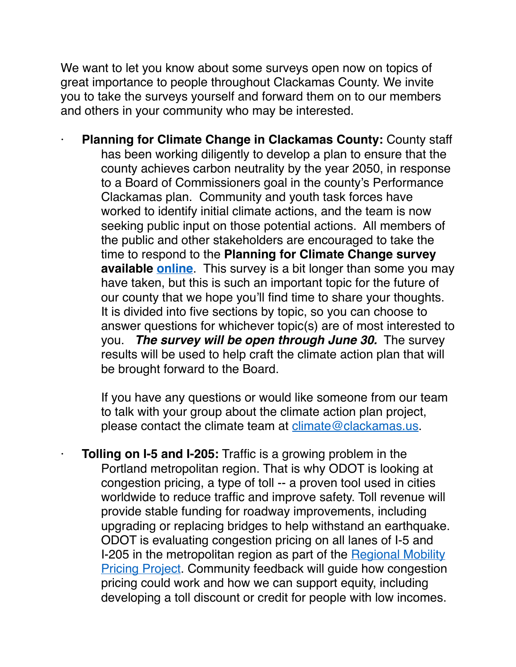We want to let you know about some surveys open now on topics of great importance to people throughout Clackamas County. We invite you to take the surveys yourself and forward them on to our members and others in your community who may be interested.

· **Planning for Climate Change in Clackamas County:** County staff has been working diligently to develop a plan to ensure that the county achieves carbon neutrality by the year 2050, in response to a Board of Commissioners goal in the county's Performance Clackamas plan. Community and youth task forces have worked to identify initial climate actions, and the team is now seeking public input on those potential actions. All members of the public and other stakeholders are encouraged to take the time to respond to the **Planning for Climate Change survey available [online](https://www.surveymonkey.com/r/ClackCoClimate)**. This survey is a bit longer than some you may have taken, but this is such an important topic for the future of our county that we hope you'll find time to share your thoughts. It is divided into five sections by topic, so you can choose to answer questions for whichever topic(s) are of most interested to you. *The survey will be open through June 30.* The survey results will be used to help craft the climate action plan that will be brought forward to the Board.

If you have any questions or would like someone from our team to talk with your group about the climate action plan project, please contact the climate team at [climate@clackamas.us.](mailto:climate@clackamas.us)

**Tolling on I-5 and I-205:** Traffic is a growing problem in the Portland metropolitan region. That is why ODOT is looking at congestion pricing, a type of toll -- a proven tool used in cities worldwide to reduce traffic and improve safety. Toll revenue will provide stable funding for roadway improvements, including upgrading or replacing bridges to help withstand an earthquake. ODOT is evaluating congestion pricing on all lanes of I-5 and I-205 in the metropolitan region as part of the Regional Mobility **[Pricing Project.](https://www.oregon.gov/odot/tolling/Pages/I-5-Tolling.aspx)** Community feedback will guide how congestion pricing could work and how we can support equity, including developing a toll discount or credit for people with low incomes.